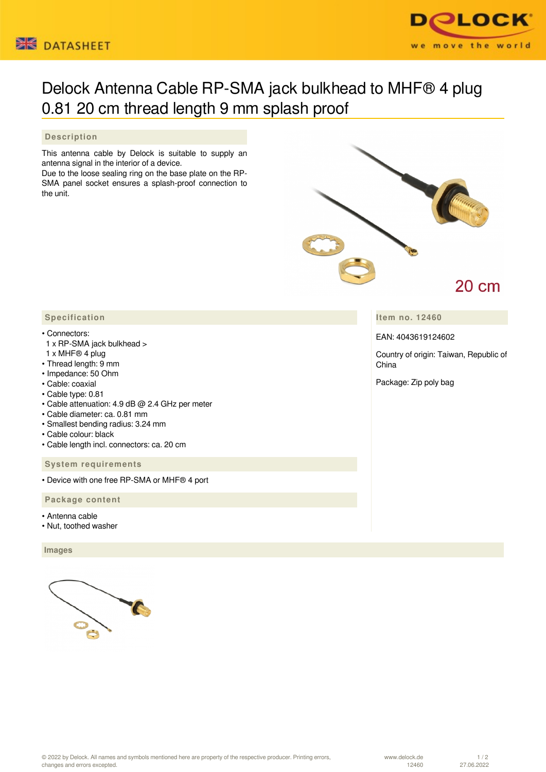



# Delock Antenna Cable RP-SMA jack bulkhead to MHF® 4 plug 0.81 20 cm thread length 9 mm splash proof

## **Description**

This antenna cable by Delock is suitable to supply an antenna signal in the interior of a device.

Due to the loose sealing ring on the base plate on the RP-SMA panel socket ensures a splash-proof connection to the unit.



## **Item no. 12460**

EAN: 4043619124602

Country of origin: Taiwan, Republic of China

Package: Zip poly bag

## **Specification**

#### • Connectors:

- 1 x RP-SMA jack bulkhead >
- 1 x MHF® 4 plug
- Thread length: 9 mm
- Impedance: 50 Ohm
- Cable: coaxial
- Cable type: 0.81
- Cable attenuation: 4.9 dB @ 2.4 GHz per meter
- Cable diameter: ca. 0.81 mm
- Smallest bending radius: 3.24 mm
- Cable colour: black
- Cable length incl. connectors: ca. 20 cm

 **System requirements**

• Device with one free RP-SMA or MHF® 4 port

 **Package content**

- Antenna cable
- Nut, toothed washer

#### **Images**